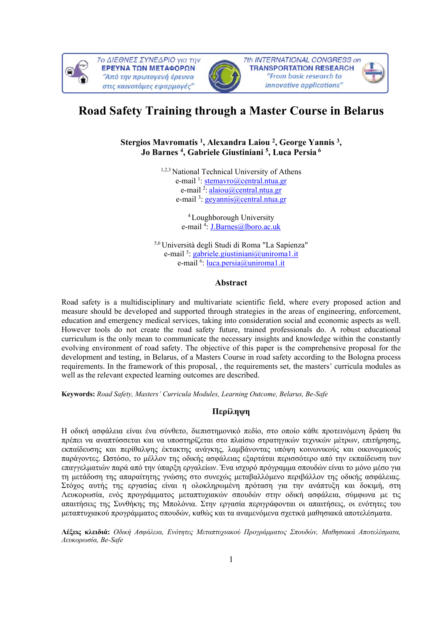



# **Road Safety Training through a Master Course in Belarus**

## **Stergios Mavromatis 1, Alexandra Laiou 2, George Yannis 3, Jo Barnes 4, Gabriele Giustiniani 5, Luca Persia 6**

1,2,3 National Technical University of Athens e-mail <sup>1</sup>: stemavro@central.ntua.gr e-mail<sup>2</sup>: alaiou@central.ntua.gr e-mail<sup>3</sup>: geyannis@central.ntua.gr

> <sup>4</sup> Loughborough University e-mail<sup>4</sup>: **J.Barnes**@lboro.ac.uk

5,6 Università degli Studi di Roma "La Sapienza" e-mail<sup>5</sup>: gabriele.giustiniani@uniroma1.it e-mail <sup>6</sup>: <u>luca.persia@uniroma1.it</u>

## **Abstract**

Road safety is a multidisciplinary and multivariate scientific field, where every proposed action and measure should be developed and supported through strategies in the areas of engineering, enforcement, education and emergency medical services, taking into consideration social and economic aspects as well. However tools do not create the road safety future, trained professionals do. A robust educational curriculum is the only mean to communicate the necessary insights and knowledge within the constantly evolving environment of road safety. The objective of this paper is the comprehensive proposal for the development and testing, in Belarus, of a Masters Course in road safety according to the Bologna process requirements. In the framework of this proposal, , the requirements set, the masters' curricula modules as well as the relevant expected learning outcomes are described.

**Keywords:** *Road Safety, Masters' Curricula Modules, Learning Outcome, Belarus, Be-Safe* 

## **Περίληψη**

Η οδική ασφάλεια είναι ένα σύνθετο, διεπιστημονικό πεδίο, στο οποίο κάθε προτεινόμενη δράση θα πρέπει να αναπτύσσεται και να υποστηρίζεται στο πλαίσιο στρατηγικών τεχνικών μέτρων, επιτήρησης, εκπαίδευσης και περίθαλψης έκτακτης ανάγκης, λαμβάνοντας υπόψη κοινωνικούς και οικονομικούς παράγοντες. Ωστόσο, το μέλλον της οδικής ασφάλειας εξαρτάται περισσότερο από την εκπαίδευση των επαγγελματιών παρά από την ύπαρξη εργαλείων. Ένα ισχυρό πρόγραμμα σπουδών είναι το μόνο μέσο για τη μετάδοση της απαραίτητης γνώσης στο συνεχώς μεταβαλλόμενο περιβάλλον της οδικής ασφάλειας. Στόχος αυτής της εργασίας είναι η ολοκληρωμένη πρόταση για την ανάπτυξη και δοκιμή, στη Λευκορωσία, ενός προγράμματος μεταπτυχιακών σπουδών στην οδική ασφάλεια, σύμφωνα με τις απαιτήσεις της Συνθήκης της Μπολόνια. Στην εργασία περιγράφονται οι απαιτήσεις, οι ενότητες του μεταπτυχιακού προγράμματος σπουδών, καθώς και τα αναμενόμενα σχετικά μαθησιακά αποτελέσματα.

**Λέξεις κλειδιά:** *Οδική Ασφάλεια, Ενότητες Μεταπτυχιακού Προγράμματος Σπουδών, Μαθησιακά Αποτελέσματα, Λευκορωσία, Be-Safe*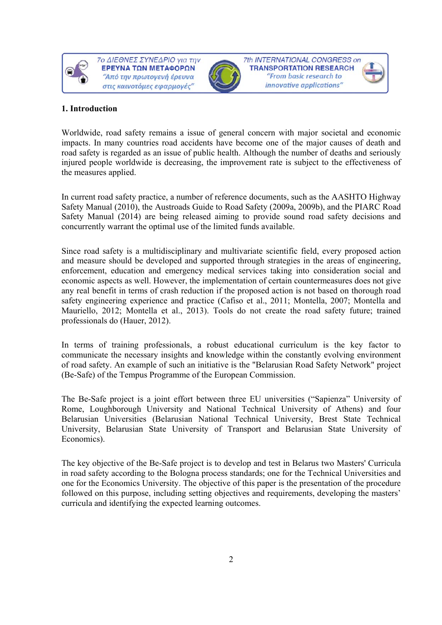



7th INTERNATIONAL CONGRESS on **TRANSPORTATION RESEARCH** "From basic research to innovative applications"

## **1. Introduction**

Worldwide, road safety remains a issue of general concern with major societal and economic impacts. In many countries road accidents have become one of the major causes of death and road safety is regarded as an issue of public health. Although the number of deaths and seriously injured people worldwide is decreasing, the improvement rate is subject to the effectiveness of the measures applied.

In current road safety practice, a number of reference documents, such as the AASHTO Highway Safety Manual (2010), the Austroads Guide to Road Safety (2009a, 2009b), and the PIARC Road Safety Manual (2014) are being released aiming to provide sound road safety decisions and concurrently warrant the optimal use of the limited funds available.

Since road safety is a multidisciplinary and multivariate scientific field, every proposed action and measure should be developed and supported through strategies in the areas of engineering, enforcement, education and emergency medical services taking into consideration social and economic aspects as well. However, the implementation of certain countermeasures does not give any real benefit in terms of crash reduction if the proposed action is not based on thorough road safety engineering experience and practice (Cafiso et al., 2011; Montella, 2007; Montella and Mauriello, 2012; Montella et al., 2013). Tools do not create the road safety future; trained professionals do (Hauer, 2012).

In terms of training professionals, a robust educational curriculum is the key factor to communicate the necessary insights and knowledge within the constantly evolving environment of road safety. An example of such an initiative is the "Belarusian Road Safety Network" project (Be-Safe) of the Tempus Programme of the European Commission.

The Be-Safe project is a joint effort between three EU universities ("Sapienza" University of Rome, Loughborough University and National Technical University of Athens) and four Belarusian Universities (Belarusian National Technical University, Brest State Technical University, Belarusian State University of Transport and Belarusian State University of Economics).

The key objective of the Be-Safe project is to develop and test in Belarus two Masters' Curricula in road safety according to the Bologna process standards; one for the Technical Universities and one for the Economics University. The objective of this paper is the presentation of the procedure followed on this purpose, including setting objectives and requirements, developing the masters' curricula and identifying the expected learning outcomes.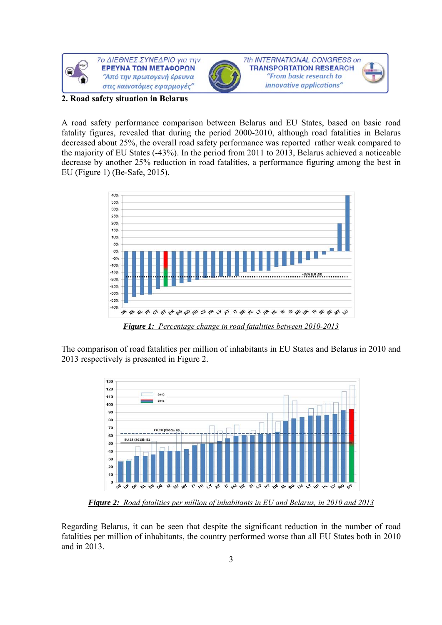

#### **2. Road safety situation in Belarus**

A road safety performance comparison between Belarus and EU States, based on basic road fatality figures, revealed that during the period 2000-2010, although road fatalities in Belarus decreased about 25%, the overall road safety performance was reported rather weak compared to the majority of EU States (-43%). In the period from 2011 to 2013, Belarus achieved a noticeable decrease by another 25% reduction in road fatalities, a performance figuring among the best in EU (Figure 1) (Be-Safe, 2015).



*Figure 1: Percentage change in road fatalities between 2010-2013* 

The comparison of road fatalities per million of inhabitants in EU States and Belarus in 2010 and 2013 respectively is presented in Figure 2.



*Figure 2: Road fatalities per million of inhabitants in EU and Belarus, in 2010 and 2013* 

Regarding Belarus, it can be seen that despite the significant reduction in the number of road fatalities per million of inhabitants, the country performed worse than all EU States both in 2010 and in 2013.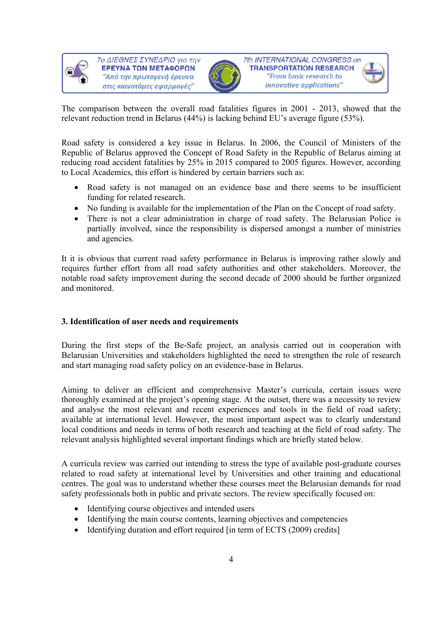



7th INTERNATIONAL CONGRESS on **TRANSPORTATION RESEARCH** "From basic research to innovative applications"

The comparison between the overall road fatalities figures in 2001 - 2013, showed that the relevant reduction trend in Belarus (44%) is lacking behind EU's average figure (53%).

Road safety is considered a key issue in Belarus. In 2006, the Council of Ministers of the Republic of Belarus approved the Concept of Road Safety in the Republic of Belarus aiming at reducing road accident fatalities by 25% in 2015 compared to 2005 figures. However, according to Local Academics, this effort is hindered by certain barriers such as:

- Road safety is not managed on an evidence base and there seems to be insufficient funding for related research.
- No funding is available for the implementation of the Plan on the Concept of road safety.
- There is not a clear administration in charge of road safety. The Belarusian Police is partially involved, since the responsibility is dispersed amongst a number of ministries and agencies.

It it is obvious that current road safety performance in Belarus is improving rather slowly and requires further effort from all road safety authorities and other stakeholders. Moreover, the notable road safety improvement during the second decade of 2000 should be further organized and monitored.

# **3. Identification of user needs and requirements**

During the first steps of the Be-Safe project, an analysis carried out in cooperation with Belarusian Universities and stakeholders highlighted the need to strengthen the role of research and start managing road safety policy on an evidence-base in Belarus.

Aiming to deliver an efficient and comprehensive Master's curricula, certain issues were thoroughly examined at the project's opening stage. At the outset, there was a necessity to review and analyse the most relevant and recent experiences and tools in the field of road safety; available at international level. However, the most important aspect was to clearly understand local conditions and needs in terms of both research and teaching at the field of road safety. The relevant analysis highlighted several important findings which are briefly stated below.

A curricula review was carried out intending to stress the type of available post-graduate courses related to road safety at international level by Universities and other training and educational centres. The goal was to understand whether these courses meet the Belarusian demands for road safety professionals both in public and private sectors. The review specifically focused on:

- Identifying course objectives and intended users
- Identifying the main course contents, learning objectives and competencies
- Identifying duration and effort required [in term of ECTS (2009) credits]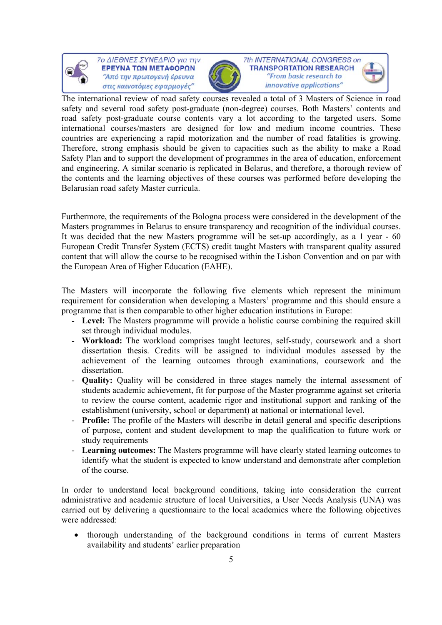



7th INTERNATIONAL CONGRESS on **TRANSPORTATION RESEARCH** "From basic research to innovative applications"

The international review of road safety courses revealed a total of 3 Masters of Science in road safety and several road safety post-graduate (non-degree) courses. Both Masters' contents and road safety post-graduate course contents vary a lot according to the targeted users. Some international courses/masters are designed for low and medium income countries. These countries are experiencing a rapid motorization and the number of road fatalities is growing. Therefore, strong emphasis should be given to capacities such as the ability to make a Road Safety Plan and to support the development of programmes in the area of education, enforcement and engineering. A similar scenario is replicated in Belarus, and therefore, a thorough review of the contents and the learning objectives of these courses was performed before developing the Belarusian road safety Master curricula.

Furthermore, the requirements of the Bologna process were considered in the development of the Masters programmes in Belarus to ensure transparency and recognition of the individual courses. It was decided that the new Masters programme will be set-up accordingly, as a 1 year - 60 European Credit Transfer System (ECTS) credit taught Masters with transparent quality assured content that will allow the course to be recognised within the Lisbon Convention and on par with the European Area of Higher Education (EAHE).

The Masters will incorporate the following five elements which represent the minimum requirement for consideration when developing a Masters' programme and this should ensure a programme that is then comparable to other higher education institutions in Europe:

- **Level:** The Masters programme will provide a holistic course combining the required skill set through individual modules.
- Workload: The workload comprises taught lectures, self-study, coursework and a short dissertation thesis. Credits will be assigned to individual modules assessed by the achievement of the learning outcomes through examinations, coursework and the dissertation.
- **Quality:** Quality will be considered in three stages namely the internal assessment of students academic achievement, fit for purpose of the Master programme against set criteria to review the course content, academic rigor and institutional support and ranking of the establishment (university, school or department) at national or international level.
- **Profile:** The profile of the Masters will describe in detail general and specific descriptions of purpose, content and student development to map the qualification to future work or study requirements
- **Learning outcomes:** The Masters programme will have clearly stated learning outcomes to identify what the student is expected to know understand and demonstrate after completion of the course.

In order to understand local background conditions, taking into consideration the current administrative and academic structure of local Universities, a User Needs Analysis (UNA) was carried out by delivering a questionnaire to the local academics where the following objectives were addressed:

 thorough understanding of the background conditions in terms of current Masters availability and students' earlier preparation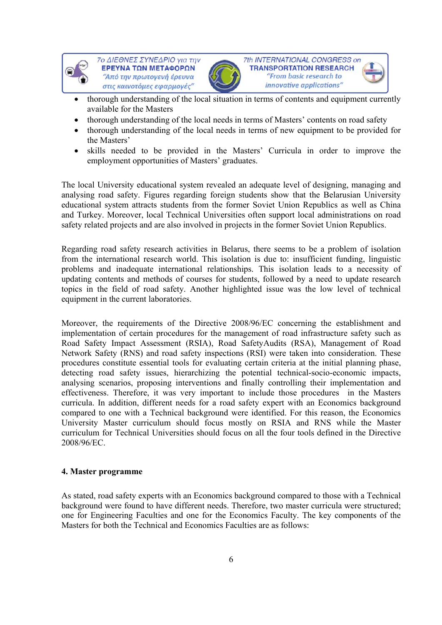



7th INTERNATIONAL CONGRESS on **TRANSPORTATION RESEARCH** "From basic research to innovative applications"

- thorough understanding of the local situation in terms of contents and equipment currently available for the Masters
- thorough understanding of the local needs in terms of Masters' contents on road safety
- thorough understanding of the local needs in terms of new equipment to be provided for the Masters'
- skills needed to be provided in the Masters' Curricula in order to improve the employment opportunities of Masters' graduates.

The local University educational system revealed an adequate level of designing, managing and analysing road safety. Figures regarding foreign students show that the Belarusian University educational system attracts students from the former Soviet Union Republics as well as China and Turkey. Moreover, local Technical Universities often support local administrations on road safety related projects and are also involved in projects in the former Soviet Union Republics.

Regarding road safety research activities in Belarus, there seems to be a problem of isolation from the international research world. This isolation is due to: insufficient funding, linguistic problems and inadequate international relationships. This isolation leads to a necessity of updating contents and methods of courses for students, followed by a need to update research topics in the field of road safety. Another highlighted issue was the low level of technical equipment in the current laboratories.

Moreover, the requirements of the Directive 2008/96/EC concerning the establishment and implementation of certain procedures for the management of road infrastructure safety such as Road Safety Impact Assessment (RSIA), Road SafetyAudits (RSA), Management of Road Network Safety (RNS) and road safety inspections (RSI) were taken into consideration. These procedures constitute essential tools for evaluating certain criteria at the initial planning phase, detecting road safety issues, hierarchizing the potential technical-socio-economic impacts, analysing scenarios, proposing interventions and finally controlling their implementation and effectiveness. Therefore, it was very important to include those procedures in the Masters curricula. In addition, different needs for a road safety expert with an Economics background compared to one with a Technical background were identified. For this reason, the Economics University Master curriculum should focus mostly on RSIA and RNS while the Master curriculum for Technical Universities should focus on all the four tools defined in the Directive 2008/96/EC.

## **4. Master programme**

As stated, road safety experts with an Economics background compared to those with a Technical background were found to have different needs. Therefore, two master curricula were structured; one for Engineering Faculties and one for the Economics Faculty. The key components of the Masters for both the Technical and Economics Faculties are as follows: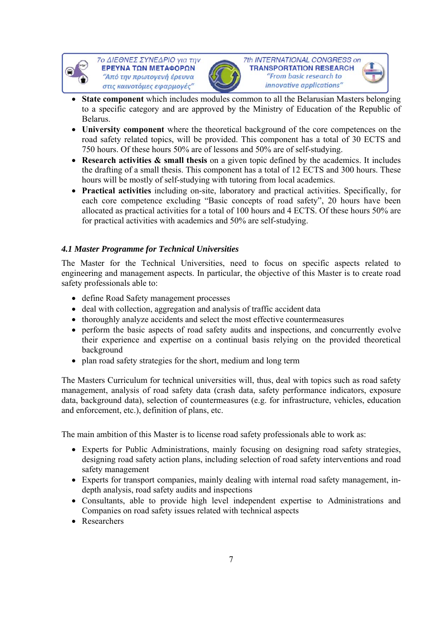



7th INTERNATIONAL CONGRESS on **TRANSPORTATION RESEARCH** "From basic research to innovative applications"



- **University component** where the theoretical background of the core competences on the road safety related topics, will be provided. This component has a total of 30 ECTS and 750 hours. Of these hours 50% are of lessons and 50% are of self-studying.
- **Research activities & small thesis** on a given topic defined by the academics. It includes the drafting of a small thesis. This component has a total of 12 ECTS and 300 hours. These hours will be mostly of self-studying with tutoring from local academics.
- **Practical activities** including on-site, laboratory and practical activities. Specifically, for each core competence excluding "Basic concepts of road safety", 20 hours have been allocated as practical activities for a total of 100 hours and 4 ECTS. Of these hours 50% are for practical activities with academics and 50% are self-studying.

# *4.1 Master Programme for Technical Universities*

The Master for the Technical Universities, need to focus on specific aspects related to engineering and management aspects. In particular, the objective of this Master is to create road safety professionals able to:

- define Road Safety management processes
- deal with collection, aggregation and analysis of traffic accident data
- thoroughly analyze accidents and select the most effective countermeasures
- perform the basic aspects of road safety audits and inspections, and concurrently evolve their experience and expertise on a continual basis relying on the provided theoretical background
- plan road safety strategies for the short, medium and long term

The Masters Curriculum for technical universities will, thus, deal with topics such as road safety management, analysis of road safety data (crash data, safety performance indicators, exposure data, background data), selection of countermeasures (e.g. for infrastructure, vehicles, education and enforcement, etc.), definition of plans, etc.

The main ambition of this Master is to license road safety professionals able to work as:

- Experts for Public Administrations, mainly focusing on designing road safety strategies, designing road safety action plans, including selection of road safety interventions and road safety management
- Experts for transport companies, mainly dealing with internal road safety management, indepth analysis, road safety audits and inspections
- Consultants, able to provide high level independent expertise to Administrations and Companies on road safety issues related with technical aspects
- Researchers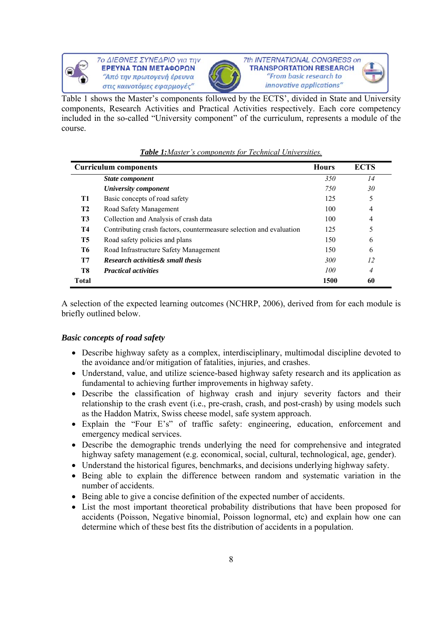



7th INTERNATIONAL CONGRESS on **TRANSPORTATION RESEARCH** "From basic research to innovative applications"

Table 1 shows the Master's components followed by the ECTS', divided in State and University components, Research Activities and Practical Activities respectively. Each core competency included in the so-called "University component" of the curriculum, represents a module of the course.

|                | <b>Curriculum components</b>                                        | <b>Hours</b> | <b>ECTS</b>    |
|----------------|---------------------------------------------------------------------|--------------|----------------|
|                | State component                                                     | 350          | 14             |
|                | University component                                                | 750          | 30             |
| T1             | Basic concepts of road safety                                       | 125          | 5              |
| <b>T2</b>      | Road Safety Management                                              | 100          | $\overline{4}$ |
| T <sub>3</sub> | Collection and Analysis of crash data                               | 100          | $\overline{4}$ |
| T4             | Contributing crash factors, countermeasure selection and evaluation | 125          | 5              |
| <b>T5</b>      | Road safety policies and plans                                      | 150          | 6              |
| T6             | Road Infrastructure Safety Management                               | 150          | 6              |
| <b>T7</b>      | <b>Research activities &amp; small thesis</b>                       | 300          | 12             |
| T8             | <b>Practical activities</b>                                         | 100          | 4              |
| <b>Total</b>   |                                                                     | 1500         | 60             |

## *Table 1:Master's components for Technical Universities.*

A selection of the expected learning outcomes (NCHRP, 2006), derived from for each module is briefly outlined below.

## *Basic concepts of road safety*

- Describe highway safety as a complex, interdisciplinary, multimodal discipline devoted to the avoidance and/or mitigation of fatalities, injuries, and crashes.
- Understand, value, and utilize science-based highway safety research and its application as fundamental to achieving further improvements in highway safety.
- Describe the classification of highway crash and injury severity factors and their relationship to the crash event (i.e., pre-crash, crash, and post-crash) by using models such as the Haddon Matrix, Swiss cheese model, safe system approach.
- Explain the "Four E's" of traffic safety: engineering, education, enforcement and emergency medical services.
- Describe the demographic trends underlying the need for comprehensive and integrated highway safety management (e.g. economical, social, cultural, technological, age, gender).
- Understand the historical figures, benchmarks, and decisions underlying highway safety.
- Being able to explain the difference between random and systematic variation in the number of accidents.
- Being able to give a concise definition of the expected number of accidents.
- List the most important theoretical probability distributions that have been proposed for accidents (Poisson, Negative binomial, Poisson lognormal, etc) and explain how one can determine which of these best fits the distribution of accidents in a population.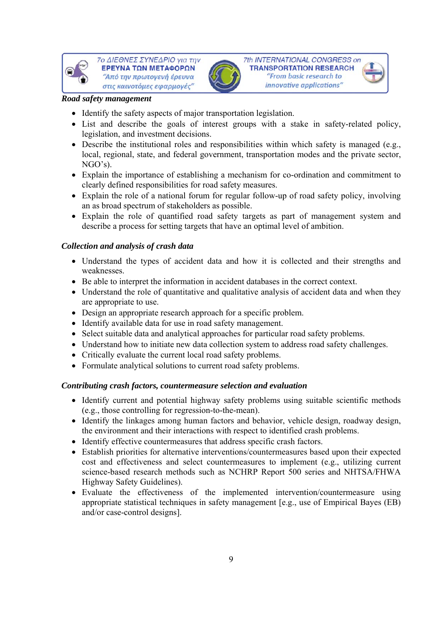



#### *Road safety management*

- Identify the safety aspects of major transportation legislation.
- List and describe the goals of interest groups with a stake in safety-related policy, legislation, and investment decisions.
- Describe the institutional roles and responsibilities within which safety is managed (e.g., local, regional, state, and federal government, transportation modes and the private sector, NGO's).
- Explain the importance of establishing a mechanism for co-ordination and commitment to clearly defined responsibilities for road safety measures.
- Explain the role of a national forum for regular follow-up of road safety policy, involving an as broad spectrum of stakeholders as possible.
- Explain the role of quantified road safety targets as part of management system and describe a process for setting targets that have an optimal level of ambition.

# *Collection and analysis of crash data*

- Understand the types of accident data and how it is collected and their strengths and weaknesses.
- Be able to interpret the information in accident databases in the correct context.
- Understand the role of quantitative and qualitative analysis of accident data and when they are appropriate to use.
- Design an appropriate research approach for a specific problem.
- Identify available data for use in road safety management.
- Select suitable data and analytical approaches for particular road safety problems.
- Understand how to initiate new data collection system to address road safety challenges.
- Critically evaluate the current local road safety problems.
- Formulate analytical solutions to current road safety problems.

## *Contributing crash factors, countermeasure selection and evaluation*

- Identify current and potential highway safety problems using suitable scientific methods (e.g., those controlling for regression-to-the-mean).
- Identify the linkages among human factors and behavior, vehicle design, roadway design, the environment and their interactions with respect to identified crash problems.
- Identify effective countermeasures that address specific crash factors.
- Establish priorities for alternative interventions/countermeasures based upon their expected cost and effectiveness and select countermeasures to implement (e.g., utilizing current science-based research methods such as NCHRP Report 500 series and NHTSA/FHWA Highway Safety Guidelines).
- Evaluate the effectiveness of the implemented intervention/countermeasure using appropriate statistical techniques in safety management [e.g., use of Empirical Bayes (EB) and/or case-control designs].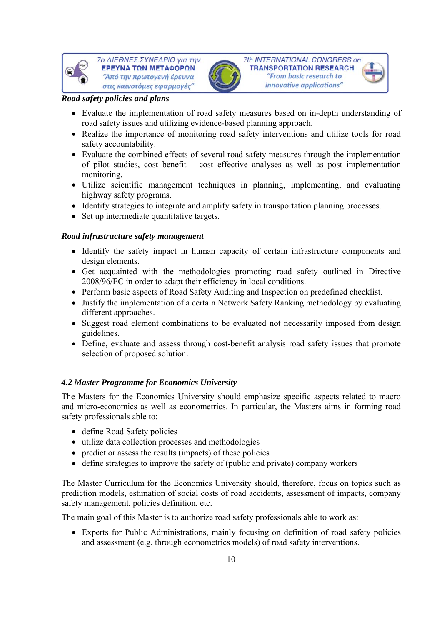



7th INTERNATIONAL CONGRESS on **TRANSPORTATION RESEARCH** "From basic research to innovative applications"

## *Road safety policies and plans*

- Evaluate the implementation of road safety measures based on in-depth understanding of road safety issues and utilizing evidence-based planning approach.
- Realize the importance of monitoring road safety interventions and utilize tools for road safety accountability.
- Evaluate the combined effects of several road safety measures through the implementation of pilot studies, cost benefit – cost effective analyses as well as post implementation monitoring.
- Utilize scientific management techniques in planning, implementing, and evaluating highway safety programs.
- Identify strategies to integrate and amplify safety in transportation planning processes.
- Set up intermediate quantitative targets.

#### *Road infrastructure safety management*

- Identify the safety impact in human capacity of certain infrastructure components and design elements.
- Get acquainted with the methodologies promoting road safety outlined in Directive 2008/96/EC in order to adapt their efficiency in local conditions.
- Perform basic aspects of Road Safety Auditing and Inspection on predefined checklist.
- Justify the implementation of a certain Network Safety Ranking methodology by evaluating different approaches.
- Suggest road element combinations to be evaluated not necessarily imposed from design guidelines.
- Define, evaluate and assess through cost-benefit analysis road safety issues that promote selection of proposed solution.

## *4.2 Master Programme for Economics University*

The Masters for the Economics University should emphasize specific aspects related to macro and micro-economics as well as econometrics. In particular, the Masters aims in forming road safety professionals able to:

- define Road Safety policies
- utilize data collection processes and methodologies
- predict or assess the results (impacts) of these policies
- define strategies to improve the safety of (public and private) company workers

The Master Curriculum for the Economics University should, therefore, focus on topics such as prediction models, estimation of social costs of road accidents, assessment of impacts, company safety management, policies definition, etc.

The main goal of this Master is to authorize road safety professionals able to work as:

 Experts for Public Administrations, mainly focusing on definition of road safety policies and assessment (e.g. through econometrics models) of road safety interventions.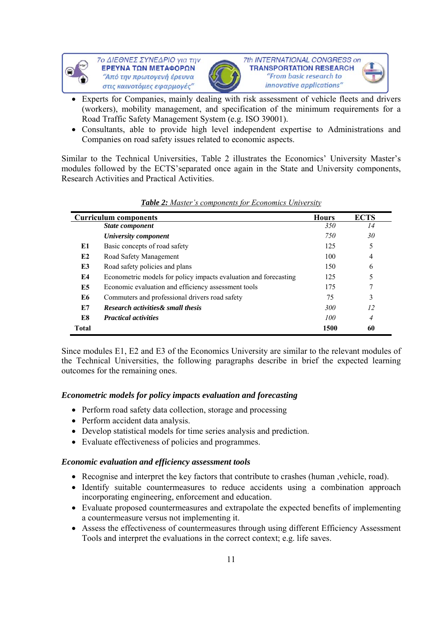



7th INTERNATIONAL CONGRESS on **TRANSPORTATION RESEARCH** "From basic research to innovative applications"

- Experts for Companies, mainly dealing with risk assessment of vehicle fleets and drivers (workers), mobility management, and specification of the minimum requirements for a Road Traffic Safety Management System (e.g. ISO 39001).
- Consultants, able to provide high level independent expertise to Administrations and Companies on road safety issues related to economic aspects.

Similar to the Technical Universities, Table 2 illustrates the Economics' University Master's modules followed by the ECTS'separated once again in the State and University components, Research Activities and Practical Activities.

| <b>Curriculum components</b> |                                                                  | <b>Hours</b> | <b>ECTS</b>    |
|------------------------------|------------------------------------------------------------------|--------------|----------------|
|                              | State component                                                  | <i>350</i>   | 14             |
|                              | University component                                             | 750          | 30             |
| E1                           | Basic concepts of road safety                                    | 125          | 5              |
| E2                           | Road Safety Management                                           | 100          | $\overline{4}$ |
| E3                           | Road safety policies and plans                                   | 150          | 6              |
| E4                           | Econometric models for policy impacts evaluation and forecasting | 125          | 5              |
| E5                           | Economic evaluation and efficiency assessment tools              | 175          | 7              |
| E6                           | Commuters and professional drivers road safety                   | 75           | 3              |
| E7                           | Research activities & small thesis                               | <i>300</i>   | 12             |
| E8                           | <b>Practical activities</b>                                      | 100          | $\overline{4}$ |
| <b>Total</b>                 |                                                                  | 1500         | 60             |

| <b>Table 2:</b> Master's components for Economics University |  |  |
|--------------------------------------------------------------|--|--|
|                                                              |  |  |

Since modules E1, E2 and E3 of the Economics University are similar to the relevant modules of the Technical Universities, the following paragraphs describe in brief the expected learning outcomes for the remaining ones.

# *Econometric models for policy impacts evaluation and forecasting*

- Perform road safety data collection, storage and processing
- Perform accident data analysis.
- Develop statistical models for time series analysis and prediction.
- Evaluate effectiveness of policies and programmes.

## *Economic evaluation and efficiency assessment tools*

- Recognise and interpret the key factors that contribute to crashes (human ,vehicle, road).
- Identify suitable countermeasures to reduce accidents using a combination approach incorporating engineering, enforcement and education.
- Evaluate proposed countermeasures and extrapolate the expected benefits of implementing a countermeasure versus not implementing it.
- Assess the effectiveness of countermeasures through using different Efficiency Assessment Tools and interpret the evaluations in the correct context; e.g. life saves.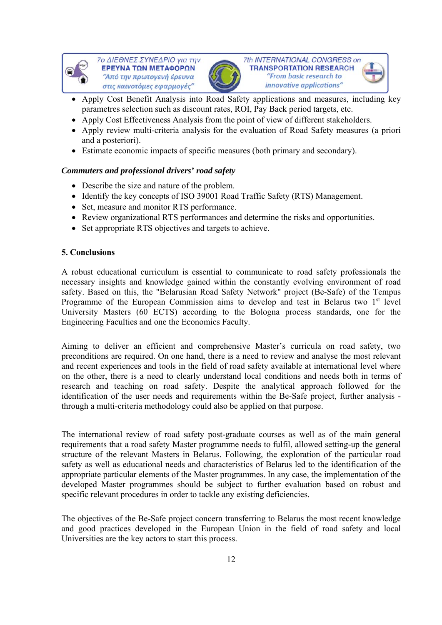



7th INTERNATIONAL CONGRESS on **TRANSPORTATION RESEARCH** "From basic research to innovative applications"

- Apply Cost Benefit Analysis into Road Safety applications and measures, including key parametres selection such as discount rates, ROI, Pay Back period targets, etc.
- Apply Cost Effectiveness Analysis from the point of view of different stakeholders.
- Apply review multi-criteria analysis for the evaluation of Road Safety measures (a priori and a posteriori).
- Estimate economic impacts of specific measures (both primary and secondary).

# *Commuters and professional drivers' road safety*

- Describe the size and nature of the problem.
- Identify the key concepts of ISO 39001 Road Traffic Safety (RTS) Management.
- Set, measure and monitor RTS performance.
- Review organizational RTS performances and determine the risks and opportunities.
- Set appropriate RTS objectives and targets to achieve.

# **5. Conclusions**

A robust educational curriculum is essential to communicate to road safety professionals the necessary insights and knowledge gained within the constantly evolving environment of road safety. Based on this, the "Belarusian Road Safety Network" project (Be-Safe) of the Tempus Programme of the European Commission aims to develop and test in Belarus two 1<sup>st</sup> level University Masters (60 ECTS) according to the Bologna process standards, one for the Engineering Faculties and one the Economics Faculty.

Aiming to deliver an efficient and comprehensive Master's curricula on road safety, two preconditions are required. On one hand, there is a need to review and analyse the most relevant and recent experiences and tools in the field of road safety available at international level where on the other, there is a need to clearly understand local conditions and needs both in terms of research and teaching on road safety. Despite the analytical approach followed for the identification of the user needs and requirements within the Be-Safe project, further analysis through a multi-criteria methodology could also be applied on that purpose.

The international review of road safety post-graduate courses as well as of the main general requirements that a road safety Master programme needs to fulfil, allowed setting-up the general structure of the relevant Masters in Belarus. Following, the exploration of the particular road safety as well as educational needs and characteristics of Belarus led to the identification of the appropriate particular elements of the Master programmes. In any case, the implementation of the developed Master programmes should be subject to further evaluation based on robust and specific relevant procedures in order to tackle any existing deficiencies.

The objectives of the Be-Safe project concern transferring to Belarus the most recent knowledge and good practices developed in the European Union in the field of road safety and local Universities are the key actors to start this process.